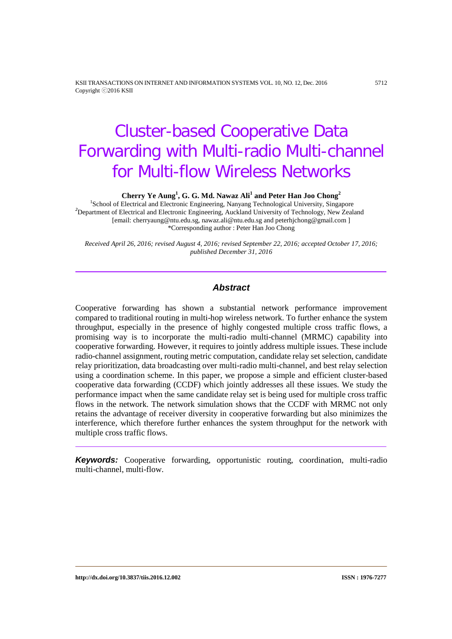KSII TRANSACTIONS ON INTERNET AND INFORMATION SYSTEMS VOL. 10, NO. 12, Dec. 2016 5712 Copyright ⓒ2016 KSII

# Cluster-based Cooperative Data Forwarding with Multi-radio Multi-channel for Multi-flow Wireless Networks

**Cherry Ye Aung<sup>1</sup>, G. G. Md. Nawaz Ali<sup>1</sup> and Peter Han Joo Chong<sup>2</sup><br><sup>1</sup>School of Electrical and Electronic Engineering, Nanyang Technological University, Singapore<sup>2</sup><br><sup>2</sup>Department of Electrical and Electronic Engineerin** <sup>2</sup>Department of Electrical and Electronic Engineering, Auckland University of Technology, New Zealand [email: cherryaung@ntu.edu.sg, nawaz.ali@ntu.edu.sg and peterhjchong@gmail.com ] \*Corresponding author : Peter Han Joo Chong

*Received April 26, 2016; revised August 4, 2016; revised September 22, 2016; accepted October 17, 2016; published December 31, 2016*

# *Abstract*

Cooperative forwarding has shown a substantial network performance improvement compared to traditional routing in multi-hop wireless network. To further enhance the system throughput, especially in the presence of highly congested multiple cross traffic flows, a promising way is to incorporate the multi-radio multi-channel (MRMC) capability into cooperative forwarding. However, it requires to jointly address multiple issues. These include radio-channel assignment, routing metric computation, candidate relay set selection, candidate relay prioritization, data broadcasting over multi-radio multi-channel, and best relay selection using a coordination scheme. In this paper, we propose a simple and efficient cluster-based cooperative data forwarding (CCDF) which jointly addresses all these issues. We study the performance impact when the same candidate relay set is being used for multiple cross traffic flows in the network. The network simulation shows that the CCDF with MRMC not only retains the advantage of receiver diversity in cooperative forwarding but also minimizes the interference, which therefore further enhances the system throughput for the network with multiple cross traffic flows.

*Keywords:* Cooperative forwarding, opportunistic routing, coordination, multi-radio multi-channel, multi-flow.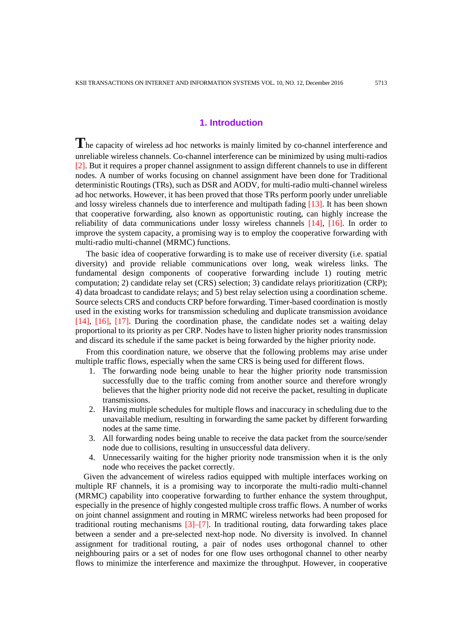# **1. Introduction**

The capacity of wireless ad hoc networks is mainly limited by co-channel interference and unreliable wireless channels. Co-channel interference can be minimized by using multi-radios [2]. But it requires a proper channel assignment to assign different channels to use in different nodes. A number of works focusing on channel assignment have been done for Traditional deterministic Routings (TRs), such as DSR and AODV, for multi-radio multi-channel wireless ad hoc networks. However, it has been proved that those TRs perform poorly under unreliable and lossy wireless channels due to interference and multipath fading [13]. It has been shown that cooperative forwarding, also known as opportunistic routing, can highly increase the reliability of data communications under lossy wireless channels [14], [16]. In order to improve the system capacity, a promising way is to employ the cooperative forwarding with multi-radio multi-channel (MRMC) functions.

The basic idea of cooperative forwarding is to make use of receiver diversity (i.e. spatial diversity) and provide reliable communications over long, weak wireless links. The fundamental design components of cooperative forwarding include 1) routing metric computation; 2) candidate relay set (CRS) selection; 3) candidate relays prioritization (CRP); 4) data broadcast to candidate relays; and 5) best relay selection using a coordination scheme. Source selects CRS and conducts CRP before forwarding. Timer-based coordination is mostly used in the existing works for transmission scheduling and duplicate transmission avoidance [14], [16], [17]. During the coordination phase, the candidate nodes set a waiting delay proportional to its priority as per CRP. Nodes have to listen higher priority nodes transmission and discard its schedule if the same packet is being forwarded by the higher priority node.

From this coordination nature, we observe that the following problems may arise under multiple traffic flows, especially when the same CRS is being used for different flows.

- 1. The forwarding node being unable to hear the higher priority node transmission successfully due to the traffic coming from another source and therefore wrongly believes that the higher priority node did not receive the packet, resulting in duplicate transmissions.
- 2. Having multiple schedules for multiple flows and inaccuracy in scheduling due to the unavailable medium, resulting in forwarding the same packet by different forwarding nodes at the same time.
- 3. All forwarding nodes being unable to receive the data packet from the source/sender node due to collisions, resulting in unsuccessful data delivery.
- 4. Unnecessarily waiting for the higher priority node transmission when it is the only node who receives the packet correctly.

Given the advancement of wireless radios equipped with multiple interfaces working on multiple RF channels, it is a promising way to incorporate the multi-radio multi-channel (MRMC) capability into cooperative forwarding to further enhance the system throughput, especially in the presence of highly congested multiple cross traffic flows. A number of works on joint channel assignment and routing in MRMC wireless networks had been proposed for traditional routing mechanisms  $\left[3\right]$ – $\left[7\right]$ . In traditional routing, data forwarding takes place between a sender and a pre-selected next-hop node. No diversity is involved. In channel assignment for traditional routing, a pair of nodes uses orthogonal channel to other neighbouring pairs or a set of nodes for one flow uses orthogonal channel to other nearby flows to minimize the interference and maximize the throughput. However, in cooperative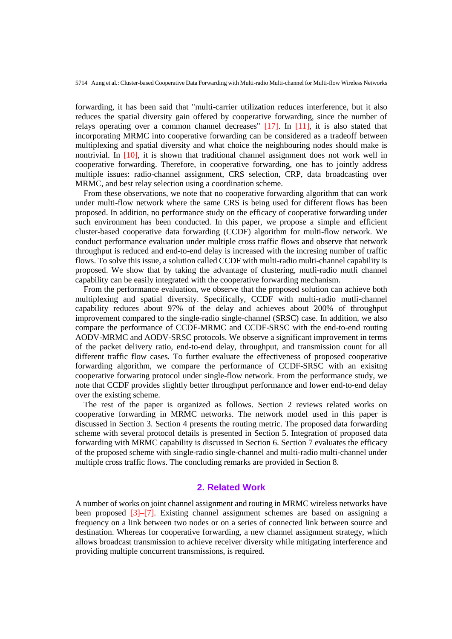forwarding, it has been said that "multi-carrier utilization reduces interference, but it also reduces the spatial diversity gain offered by cooperative forwarding, since the number of relays operating over a common channel decreases" [17]. In [11], it is also stated that incorporating MRMC into cooperative forwarding can be considered as a tradeoff between multiplexing and spatial diversity and what choice the neighbouring nodes should make is nontrivial. In [10], it is shown that traditional channel assignment does not work well in cooperative forwarding. Therefore, in cooperative forwarding, one has to jointly address multiple issues: radio-channel assignment, CRS selection, CRP, data broadcasting over MRMC, and best relay selection using a coordination scheme.

From these observations, we note that no cooperative forwarding algorithm that can work under multi-flow network where the same CRS is being used for different flows has been proposed. In addition, no performance study on the efficacy of cooperative forwarding under such environment has been conducted. In this paper, we propose a simple and efficient cluster-based cooperative data forwarding (CCDF) algorithm for multi-flow network. We conduct performance evaluation under multiple cross traffic flows and observe that network throughput is reduced and end-to-end delay is increased with the incresing number of traffic flows. To solve this issue, a solution called CCDF with multi-radio multi-channel capability is proposed. We show that by taking the advantage of clustering, mutli-radio mutli channel capability can be easily integrated with the cooperative forwarding mechanism.

From the performance evaluation, we observe that the proposed solution can achieve both multiplexing and spatial diversity. Specifically, CCDF with multi-radio mutli-channel capability reduces about 97% of the delay and achieves about 200% of throughput improvement compared to the single-radio single-channel (SRSC) case. In addition, we also compare the performance of CCDF-MRMC and CCDF-SRSC with the end-to-end routing AODV-MRMC and AODV-SRSC protocols. We observe a significant improvement in terms of the packet delivery ratio, end-to-end delay, throughput, and transmission count for all different traffic flow cases. To further evaluate the effectiveness of proposed cooperative forwarding algorithm, we compare the performance of CCDF-SRSC with an exisitng cooperative forwaring protocol under single-flow network. From the performance study, we note that CCDF provides slightly better throughput performance and lower end-to-end delay over the existing scheme.

The rest of the paper is organized as follows. Section 2 reviews related works on cooperative forwarding in MRMC networks. The network model used in this paper is discussed in Section 3. Section 4 presents the routing metric. The proposed data forwarding scheme with several protocol details is presented in Section 5. Integration of proposed data forwarding with MRMC capability is discussed in Section 6. Section 7 evaluates the efficacy of the proposed scheme with single-radio single-channel and multi-radio multi-channel under multiple cross traffic flows. The concluding remarks are provided in Section 8.

# **2. Related Work**

A number of works on joint channel assignment and routing in MRMC wireless networks have been proposed [3]–[7]. Existing channel assignment schemes are based on assigning a frequency on a link between two nodes or on a series of connected link between source and destination. Whereas for cooperative forwarding, a new channel assignment strategy, which allows broadcast transmission to achieve receiver diversity while mitigating interference and providing multiple concurrent transmissions, is required.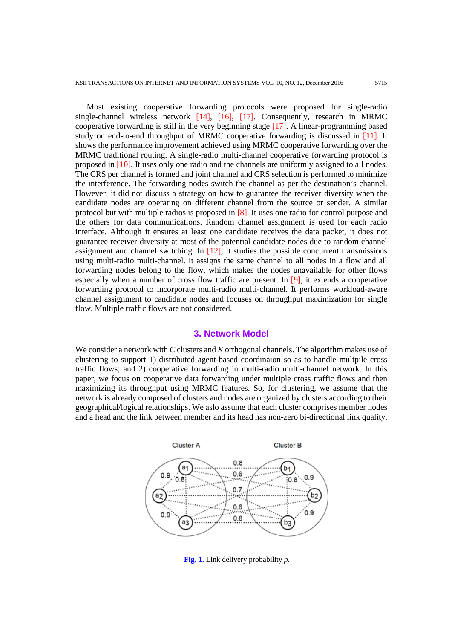Most existing cooperative forwarding protocols were proposed for single-radio single-channel wireless network [14], [16], [17]. Consequently, research in MRMC cooperative forwarding is still in the very beginning stage [17]. A linear-programming based study on end-to-end throughput of MRMC cooperative forwarding is discussed in [11]. It shows the performance improvement achieved using MRMC cooperative forwarding over the MRMC traditional routing. A single-radio multi-channel cooperative forwarding protocol is proposed in [10]. It uses only one radio and the channels are uniformly assigned to all nodes. The CRS per channel is formed and joint channel and CRS selection is performed to minimize the interference. The forwarding nodes switch the channel as per the destination's channel. However, it did not discuss a strategy on how to guarantee the receiver diversity when the candidate nodes are operating on different channel from the source or sender. A similar protocol but with multiple radios is proposed in [8]. It uses one radio for control purpose and the others for data communications. Random channel assignment is used for each radio interface. Although it ensures at least one candidate receives the data packet, it does not guarantee receiver diversity at most of the potential candidate nodes due to random channel assignment and channel switching. In [12], it studies the possible concurrent transmissions using multi-radio multi-channel. It assigns the same channel to all nodes in a flow and all forwarding nodes belong to the flow, which makes the nodes unavailable for other flows especially when a number of cross flow traffic are present. In [9], it extends a cooperative forwarding protocol to incorporate multi-radio multi-channel. It performs workload-aware channel assignment to candidate nodes and focuses on throughput maximization for single flow. Multiple traffic flows are not considered.

#### **3. Network Model**

We consider a network with *C* clusters and *K* orthogonal channels. The algorithm makes use of clustering to support 1) distributed agent-based coordinaion so as to handle multpile cross traffic flows; and 2) cooperative forwarding in multi-radio multi-channel network. In this paper, we focus on cooperative data forwarding under multiple cross traffic flows and then maximizing its throughput using MRMC features. So, for clustering, we assume that the network is already composed of clusters and nodes are organized by clusters according to their geographical/logical relationships. We aslo assume that each cluster comprises member nodes and a head and the link between member and its head has non-zero bi-directional link quality.



**Fig. 1.** Link delivery probability *p.*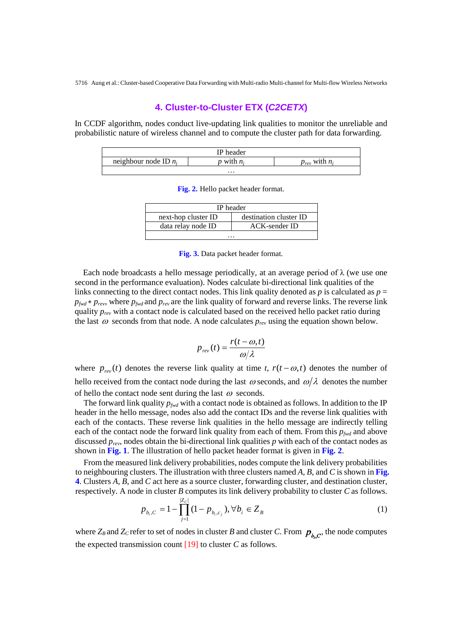# **4. Cluster-to-Cluster ETX (***C2CETX***)**

In CCDF algorithm, nodes conduct live-updating link qualities to monitor the unreliable and probabilistic nature of wireless channel and to compute the cluster path for data forwarding.

|                         | IP header  |                         |
|-------------------------|------------|-------------------------|
| neighbour node ID $n_i$ | vith $n_i$ | with $n_i$<br>$v_{rev}$ |
|                         | $\cdots$   |                         |

**Fig. 2.** Hello packet header format.

| IP header           |                        |  |  |  |  |
|---------------------|------------------------|--|--|--|--|
| next-hop cluster ID | destination cluster ID |  |  |  |  |
| data relay node ID  | <b>ACK-sender ID</b>   |  |  |  |  |
| .                   |                        |  |  |  |  |

**Fig. 3.** Data packet header format.

Each node broadcasts a hello message periodically, at an average period of  $\lambda$  (we use one second in the performance evaluation). Nodes calculate bi-directional link qualities of the links connecting to the direct contact nodes. This link quality denoted as  $p$  is calculated as  $p =$ *p<sub>fwd</sub>* ∗ *p<sub>rev</sub>*, where *p<sub>fwd</sub>* and *p<sub>rev</sub>* are the link quality of forward and reverse links. The reverse link quality *prev* with a contact node is calculated based on the received hello packet ratio during the last  $\omega$  seconds from that node. A node calculates  $p_{rev}$  using the equation shown below.

$$
p_{rev}(t) = \frac{r(t - \omega, t)}{\omega/\lambda}
$$

where  $p_{rev}(t)$  denotes the reverse link quality at time *t*,  $r(t - \omega, t)$  denotes the number of hello received from the contact node during the last  $\omega$  seconds, and  $\omega/\lambda$  denotes the number of hello the contact node sent during the last  $\omega$  seconds.

The forward link quality  $p_{\text{fwd}}$  with a contact node is obtained as follows. In addition to the IP header in the hello message, nodes also add the contact IDs and the reverse link qualities with each of the contacts. These reverse link qualities in the hello message are indirectly telling each of the contact node the forward link quality from each of them. From this  $p_{fwd}$  and above discussed *prev*, nodes obtain the bi-directional link qualities *p* with each of the contact nodes as shown in **Fig. 1**. The illustration of hello packet header format is given in **Fig. 2**.

From the measured link delivery probabilities, nodes compute the link delivery probabilities to neighbouring clusters. The illustration with three clusters named *A*, *B*, and *C* is shown in **Fig. 4**. Clusters *A*, *B*, and *C* act here as a source cluster, forwarding cluster, and destination cluster, respectively. A node in cluster *B* computes its link delivery probability to cluster *C* as follows.

$$
p_{b_i,C} = 1 - \prod_{j=1}^{|Z_C|} (1 - p_{b_i,c_j}), \forall b_i \in Z_B
$$
 (1)

where  $Z_B$  and  $Z_C$  refer to set of nodes in cluster *B* and cluster *C*. From  $p_{b,c}$ , the node computes the expected transmission count [19] to cluster *C* as follows.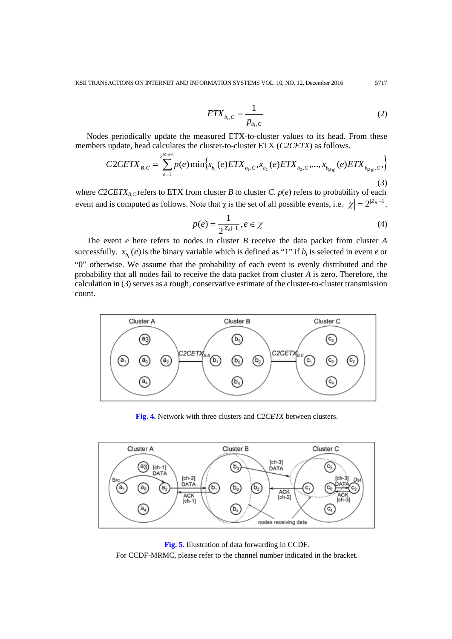$$
ETX_{b_i,C} = \frac{1}{p_{b_i,C}}
$$
 (2)

Nodes periodically update the measured ETX-to-cluster values to its head. From these members update, head calculates the cluster-to-cluster ETX (*C2CETX*) as follows.

$$
C2CETX_{B,C} = \sum_{e=1}^{2^{|Z_B|-1}} p(e) \min \left\{ x_{b_1}(e) ETX_{b_1,C}, x_{b_2}(e) ETX_{b_2,C}, ..., x_{b_{|Z_B|}}(e) ETX_{b_{|Z_B|},C} \right\}
$$
(3)

where  $C2CETX_{B,C}$  refers to ETX from cluster *B* to cluster *C*.  $p(e)$  refers to probability of each event and is computed as follows. Note that  $\chi$  is the set of all possible events, i.e.  $|\chi| = 2^{|Z_B|-1}$ .

$$
p(e) = \frac{1}{2^{|Z_B|-1}}, e \in \chi
$$
 (4)

The event *e* here refers to nodes in cluster *B* receive the data packet from cluster *A*  successfully.  $x_{b}$  (*e*) is the binary variable which is defined as "1" if  $b_i$  is selected in event *e* or "0" otherwise. We assume that the probability of each event is evenly distributed and the probability that all nodes fail to receive the data packet from cluster *A* is zero. Therefore, the calculation in (3) serves as a rough, conservative estimate of the cluster-to-cluster transmission count.



**Fig. 4.** Network with three clusters and *C2CETX* between clusters.



**Fig. 5.** Illustration of data forwarding in CCDF. For CCDF-MRMC, please refer to the channel number indicated in the bracket.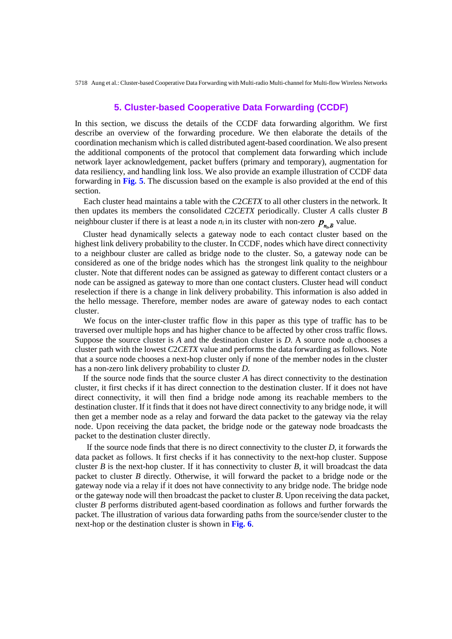# **5. Cluster-based Cooperative Data Forwarding (CCDF)**

In this section, we discuss the details of the CCDF data forwarding algorithm. We first describe an overview of the forwarding procedure. We then elaborate the details of the coordination mechanism which is called distributed agent-based coordination. We also present the additional components of the protocol that complement data forwarding which include network layer acknowledgement, packet buffers (primary and temporary), augmentation for data resiliency, and handling link loss. We also provide an example illustration of CCDF data forwarding in **Fig. 5**. The discussion based on the example is also provided at the end of this section.

 Each cluster head maintains a table with the *C*2*CETX* to all other clusters in the network. It then updates its members the consolidated *C*2*CETX* periodically. Cluster *A* calls cluster *B*  neighbour cluster if there is at least a node  $n_i$  in its cluster with non-zero  $p_{n_i, B}$  value.

 Cluster head dynamically selects a gateway node to each contact cluster based on the highest link delivery probability to the cluster. In CCDF, nodes which have direct connectivity to a neighbour cluster are called as bridge node to the cluster. So, a gateway node can be considered as one of the bridge nodes which has the strongest link quality to the neighbour cluster. Note that different nodes can be assigned as gateway to different contact clusters or a node can be assigned as gateway to more than one contact clusters. Cluster head will conduct reselection if there is a change in link delivery probability. This information is also added in the hello message. Therefore, member nodes are aware of gateway nodes to each contact cluster.

 We focus on the inter-cluster traffic flow in this paper as this type of traffic has to be traversed over multiple hops and has higher chance to be affected by other cross traffic flows. Suppose the source cluster is *A* and the destination cluster is *D*. A source node  $a_i$  chooses a cluster path with the lowest *C*2*CETX* value and performs the data forwarding as follows. Note that a source node chooses a next-hop cluster only if none of the member nodes in the cluster has a non-zero link delivery probability to cluster *D*.

 If the source node finds that the source cluster *A* has direct connectivity to the destination cluster, it first checks if it has direct connection to the destination cluster. If it does not have direct connectivity, it will then find a bridge node among its reachable members to the destination cluster. If it finds that it does not have direct connectivity to any bridge node, it will then get a member node as a relay and forward the data packet to the gateway via the relay node. Upon receiving the data packet, the bridge node or the gateway node broadcasts the packet to the destination cluster directly.

If the source node finds that there is no direct connectivity to the cluster *D*, it forwards the data packet as follows. It first checks if it has connectivity to the next-hop cluster. Suppose cluster *B* is the next-hop cluster. If it has connectivity to cluster *B*, it will broadcast the data packet to cluster *B* directly. Otherwise, it will forward the packet to a bridge node or the gateway node via a relay if it does not have connectivity to any bridge node. The bridge node or the gateway node will then broadcast the packet to cluster *B*. Upon receiving the data packet, cluster *B* performs distributed agent-based coordination as follows and further forwards the packet. The illustration of various data forwarding paths from the source/sender cluster to the next-hop or the destination cluster is shown in **Fig. 6**.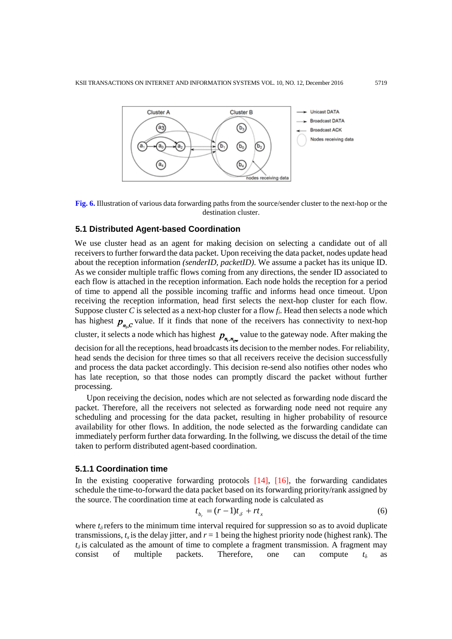

**Fig. 6.** Illustration of various data forwarding paths from the source/sender cluster to the next-hop or the destination cluster.

# **5.1 Distributed Agent-based Coordination**

We use cluster head as an agent for making decision on selecting a candidate out of all receivers to further forward the data packet. Upon receiving the data packet, nodes update head about the reception information *(senderID, packetID)*. We assume a packet has its unique ID. As we consider multiple traffic flows coming from any directions, the sender ID associated to each flow is attached in the reception information. Each node holds the reception for a period of time to append all the possible incoming traffic and informs head once timeout. Upon receiving the reception information, head first selects the next-hop cluster for each flow. Suppose cluster *C* is selected as a next-hop cluster for a flow  $f_i$ . Head then selects a node which has highest  $p_{n,c}$  value. If it finds that none of the receivers has connectivity to next-hop cluster, it selects a node which has highest  $p_{n_i,n_{\text{cov}}}$  value to the gateway node. After making the decision for all the receptions, head broadcasts its decision to the member nodes. For reliability, head sends the decision for three times so that all receivers receive the decision successfully and process the data packet accordingly. This decision re-send also notifies other nodes who has late reception, so that those nodes can promptly discard the packet without further

processing. Upon receiving the decision, nodes which are not selected as forwarding node discard the packet. Therefore, all the receivers not selected as forwarding node need not require any scheduling and processing for the data packet, resulting in higher probability of resource availability for other flows. In addition, the node selected as the forwarding candidate can immediately perform further data forwarding. In the follwing, we discuss the detail of the time

#### **5.1.1 Coordination time**

taken to perform distributed agent-based coordination.

In the existing cooperative forwarding protocols [14], [16], the forwarding candidates schedule the time-to-forward the data packet based on its forwarding priority/rank assigned by the source. The coordination time at each forwarding node is calculated as

$$
t_{b_r} = (r-1)t_{\delta} + rt_x \tag{6}
$$

where  $t_\delta$  refers to the minimum time interval required for suppression so as to avoid duplicate transmissions,  $t_x$  is the delay jitter, and  $r = 1$  being the highest priority node (highest rank). The  $t_{\delta}$  is calculated as the amount of time to complete a fragment transmission. A fragment may consist of multiple packets. Therefore, one can compute  $t_{\delta}$  as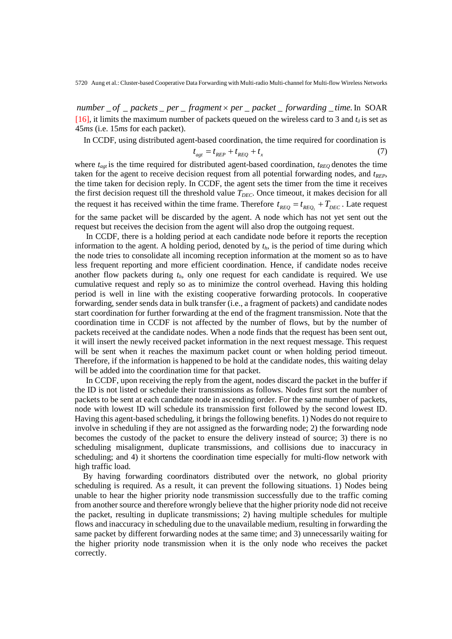*number* \_ *of* \_ *packets* \_ *per* \_ *fragment* × *per* \_ *packet* \_ *forwarding* \_ *time*. In SOAR [16], it limits the maximum number of packets queued on the wireless card to 3 and  $t<sub>\delta</sub>$  is set as 45*ms* (i.e. 15*ms* for each packet).

In CCDF, using distributed agent-based coordination, the time required for coordination is

$$
t_{agt} = t_{REF} + t_{EEQ} + t_x \tag{7}
$$

where  $t_{\text{agt}}$  is the time required for distributed agent-based coordination,  $t_{\text{REG}}$  denotes the time taken for the agent to receive decision request from all potential forwarding nodes, and  $t_{REP}$ , the time taken for decision reply. In CCDF, the agent sets the timer from the time it receives the first decision request till the threshold value  $T_{DEC}$ . Once timeout, it makes decision for all the request it has received within the time frame. Therefore  $t_{REQ} = t_{REQ_1} + T_{DEC}$ . Late request for the same packet will be discarded by the agent. A node which has not yet sent out the request but receives the decision from the agent will also drop the outgoing request.

In CCDF, there is a holding period at each candidate node before it reports the reception information to the agent. A holding period, denoted by  $t<sub>h</sub>$ , is the period of time during which the node tries to consolidate all incoming reception information at the moment so as to have less frequent reporting and more efficient coordination. Hence, if candidate nodes receive another flow packets during *th*, only one request for each candidate is required. We use cumulative request and reply so as to minimize the control overhead. Having this holding period is well in line with the existing cooperative forwarding protocols. In cooperative forwarding, sender sends data in bulk transfer (i.e., a fragment of packets) and candidate nodes start coordination for further forwarding at the end of the fragment transmission. Note that the coordination time in CCDF is not affected by the number of flows, but by the number of packets received at the candidate nodes. When a node finds that the request has been sent out, it will insert the newly received packet information in the next request message. This request will be sent when it reaches the maximum packet count or when holding period timeout. Therefore, if the information is happened to be hold at the candidate nodes, this waiting delay will be added into the coordination time for that packet.

In CCDF, upon receiving the reply from the agent, nodes discard the packet in the buffer if the ID is not listed or schedule their transmissions as follows. Nodes first sort the number of packets to be sent at each candidate node in ascending order. For the same number of packets, node with lowest ID will schedule its transmission first followed by the second lowest ID. Having this agent-based scheduling, it brings the following benefits. 1) Nodes do not require to involve in scheduling if they are not assigned as the forwarding node; 2) the forwarding node becomes the custody of the packet to ensure the delivery instead of source; 3) there is no scheduling misalignment, duplicate transmissions, and collisions due to inaccuracy in scheduling; and 4) it shortens the coordination time especially for multi-flow network with high traffic load.

 By having forwarding coordinators distributed over the network, no global priority scheduling is required. As a result, it can prevent the following situations. 1) Nodes being unable to hear the higher priority node transmission successfully due to the traffic coming from another source and therefore wrongly believe that the higher priority node did not receive the packet, resulting in duplicate transmissions; 2) having multiple schedules for multiple flows and inaccuracy in scheduling due to the unavailable medium, resulting in forwarding the same packet by different forwarding nodes at the same time; and 3) unnecessarily waiting for the higher priority node transmission when it is the only node who receives the packet correctly.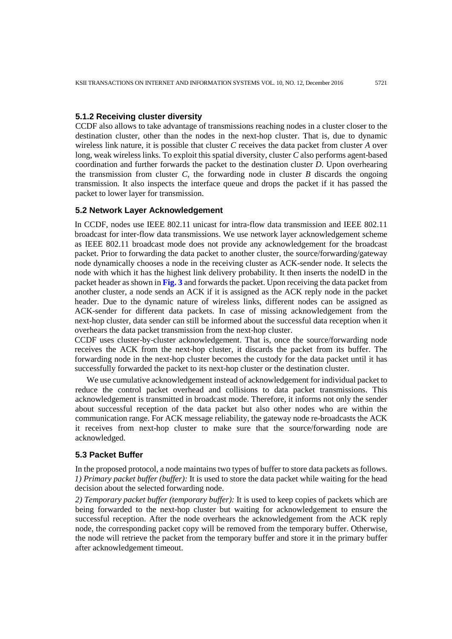# **5.1.2 Receiving cluster diversity**

CCDF also allows to take advantage of transmissions reaching nodes in a cluster closer to the destination cluster, other than the nodes in the next-hop cluster. That is, due to dynamic wireless link nature, it is possible that cluster *C* receives the data packet from cluster *A* over long, weak wireless links. To exploit this spatial diversity, cluster *C* also performs agent-based coordination and further forwards the packet to the destination cluster *D*. Upon overhearing the transmission from cluster  $C$ , the forwarding node in cluster  $B$  discards the ongoing transmission. It also inspects the interface queue and drops the packet if it has passed the packet to lower layer for transmission.

#### **5.2 Network Layer Acknowledgement**

In CCDF, nodes use IEEE 802.11 unicast for intra-flow data transmission and IEEE 802.11 broadcast for inter-flow data transmissions. We use network layer acknowledgement scheme as IEEE 802.11 broadcast mode does not provide any acknowledgement for the broadcast packet. Prior to forwarding the data packet to another cluster, the source/forwarding/gateway node dynamically chooses a node in the receiving cluster as ACK-sender node. It selects the node with which it has the highest link delivery probability. It then inserts the nodeID in the packet header as shown in **Fig. 3** and forwards the packet. Upon receiving the data packet from another cluster, a node sends an ACK if it is assigned as the ACK reply node in the packet header. Due to the dynamic nature of wireless links, different nodes can be assigned as ACK-sender for different data packets. In case of missing acknowledgement from the next-hop cluster, data sender can still be informed about the successful data reception when it overhears the data packet transmission from the next-hop cluster.

CCDF uses cluster-by-cluster acknowledgement. That is, once the source/forwarding node receives the ACK from the next-hop cluster, it discards the packet from its buffer. The forwarding node in the next-hop cluster becomes the custody for the data packet until it has successfully forwarded the packet to its next-hop cluster or the destination cluster.

We use cumulative acknowledgement instead of acknowledgement for individual packet to reduce the control packet overhead and collisions to data packet transmissions. This acknowledgement is transmitted in broadcast mode. Therefore, it informs not only the sender about successful reception of the data packet but also other nodes who are within the communication range. For ACK message reliability, the gateway node re-broadcasts the ACK it receives from next-hop cluster to make sure that the source/forwarding node are acknowledged.

## **5.3 Packet Buffer**

In the proposed protocol, a node maintains two types of buffer to store data packets as follows. *1) Primary packet buffer (buffer):* It is used to store the data packet while waiting for the head decision about the selected forwarding node.

*2) Temporary packet buffer (temporary buffer):* It is used to keep copies of packets which are being forwarded to the next-hop cluster but waiting for acknowledgement to ensure the successful reception. After the node overhears the acknowledgement from the ACK reply node, the corresponding packet copy will be removed from the temporary buffer. Otherwise, the node will retrieve the packet from the temporary buffer and store it in the primary buffer after acknowledgement timeout.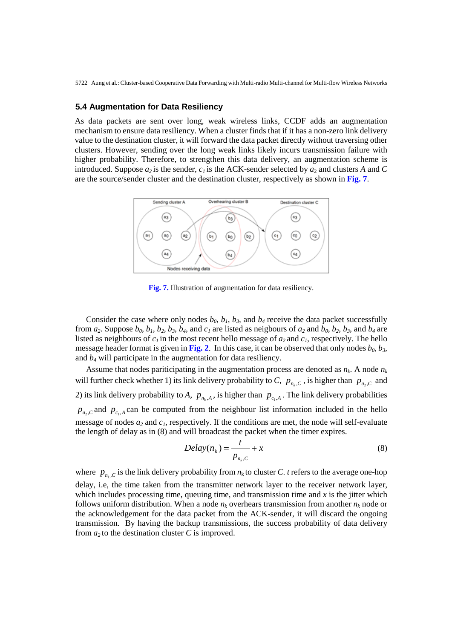#### **5.4 Augmentation for Data Resiliency**

As data packets are sent over long, weak wireless links, CCDF adds an augmentation mechanism to ensure data resiliency. When a cluster finds that if it has a non-zero link delivery value to the destination cluster, it will forward the data packet directly without traversing other clusters. However, sending over the long weak links likely incurs transmission failure with higher probability. Therefore, to strengthen this data delivery, an augmentation scheme is introduced. Suppose  $a_2$  is the sender,  $c_1$  is the ACK-sender selected by  $a_2$  and clusters A and C are the source/sender cluster and the destination cluster, respectively as shown in **Fig. 7**.



**Fig. 7.** Illustration of augmentation for data resiliency.

Consider the case where only nodes  $b_0$ ,  $b_1$ ,  $b_3$ , and  $b_4$  receive the data packet successfully from  $a_2$ . Suppose  $b_0$ ,  $b_1$ ,  $b_2$ ,  $b_3$ ,  $b_4$ , and  $c_1$  are listed as neigbours of  $a_2$  and  $b_0$ ,  $b_2$ ,  $b_3$ , and  $b_4$  are listed as neighbours of  $c_1$  in the most recent hello message of  $a_2$  and  $c_1$ , respectively. The hello message header format is given in Fig. 2. In this case, it can be observed that only nodes  $b_0$ ,  $b_3$ , and *b4* will participate in the augmentation for data resiliency.

Assume that nodes pariticipating in the augmentation process are denoted as  $n_k$ . A node  $n_k$ will further check whether 1) its link delivery probability to *C*,  $p_{n,c}$ , is higher than  $p_{a,c}$  and 2) its link delivery probability to *A*,  $p_{n_k, A}$ , is higher than  $p_{c_1, A}$ . The link delivery probabilities  $p_{a_2, C}$  and  $p_{c_1, A}$  can be computed from the neighbour list information included in the hello message of nodes  $a_2$  and  $c_1$ , respectively. If the conditions are met, the node will self-evaluate the length of delay as in (8) and will broadcast the packet when the timer expires.

$$
Delay(n_k) = \frac{t}{p_{n_k,C}} + x
$$
\n(8)

where  $p_{n_k, C}$  is the link delivery probability from  $n_k$  to cluster *C*. *t* refers to the average one-hop delay, i.e, the time taken from the transmitter network layer to the receiver network layer, which includes processing time, queuing time, and transmission time and *x* is the jitter which follows uniform distribution. When a node  $n_k$  overhears transmission from another  $n_k$  node or the acknowledgement for the data packet from the ACK-sender, it will discard the ongoing transmission. By having the backup transmissions, the success probability of data delivery from  $a_2$  to the destination cluster  $C$  is improved.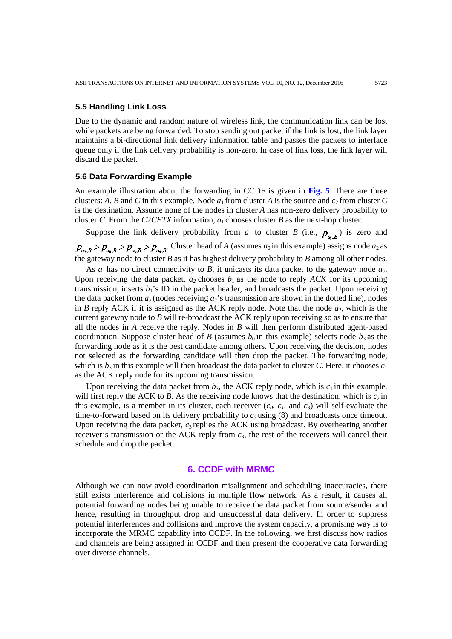## **5.5 Handling Link Loss**

Due to the dynamic and random nature of wireless link, the communication link can be lost while packets are being forwarded. To stop sending out packet if the link is lost, the link layer maintains a bi-directional link delivery information table and passes the packets to interface queue only if the link delivery probability is non-zero. In case of link loss, the link layer will discard the packet.

#### **5.6 Data Forwarding Example**

An example illustration about the forwarding in CCDF is given in **Fig. 5**. There are three clusters: *A*, *B* and *C* in this example. Node  $a_1$  from cluster *A* is the source and  $c_2$  from cluster *C* is the destination. Assume none of the nodes in cluster *A* has non-zero delivery probability to cluster *C*. From the *C*2*CETX* information, *a*1 chooses cluster *B* as the next-hop cluster.

Suppose the link delivery probability from  $a_1$  to cluster *B* (i.e.,  $p_{a_1, B}$ ) is zero and  $p_{a_2,B} > p_{a_0,B} > p_{a_3,B} > p_{a_4,B}$ . Cluster head of *A* (assumes  $a_0$  in this example) assigns node  $a_2$  as the gateway node to cluster *B* as it has highest delivery probability to *B* among all other nodes.

As  $a_1$  has no direct connectivity to  $B$ , it unicasts its data packet to the gateway node  $a_2$ . Upon receiving the data packet,  $a_2$  chooses  $b_1$  as the node to reply *ACK* for its upcoming transmission, inserts  $b_1$ 's ID in the packet header, and broadcasts the packet. Upon receiving the data packet from  $a_2$  (nodes receiving  $a_2$ 's transmission are shown in the dotted line), nodes in *B* reply ACK if it is assigned as the ACK reply node. Note that the node  $a_2$ , which is the current gateway node to *B* will re-broadcast the ACK reply upon receiving so as to ensure that all the nodes in *A* receive the reply. Nodes in *B* will then perform distributed agent-based coordination. Suppose cluster head of *B* (assumes  $b_0$  in this example) selects node  $b_3$  as the forwarding node as it is the best candidate among others. Upon receiving the decision, nodes not selected as the forwarding candidate will then drop the packet. The forwarding node, which is  $b_3$  in this example will then broadcast the data packet to cluster *C*. Here, it chooses  $c_1$ as the ACK reply node for its upcoming transmission.

Upon receiving the data packet from  $b_3$ , the ACK reply node, which is  $c_1$  in this example, will first reply the ACK to *B*. As the receiving node knows that the destination, which is  $c_2$  in this example, is a member in its cluster, each receiver  $(c_0, c_1,$  and  $c_3)$  will self-evaluate the time-to-forward based on its delivery probability to  $c_3$  using (8) and broadcasts once timeout. Upon receiving the data packet, *c*3 replies the ACK using broadcast. By overhearing another receiver's transmission or the ACK reply from  $c_3$ , the rest of the receivers will cancel their schedule and drop the packet.

# **6. CCDF with MRMC**

Although we can now avoid coordination misalignment and scheduling inaccuracies, there still exists interference and collisions in multiple flow network. As a result, it causes all potential forwarding nodes being unable to receive the data packet from source/sender and hence, resulting in throughput drop and unsuccessful data delivery. In order to suppress potential interferences and collisions and improve the system capacity, a promising way is to incorporate the MRMC capability into CCDF. In the following, we first discuss how radios and channels are being assigned in CCDF and then present the cooperative data forwarding over diverse channels.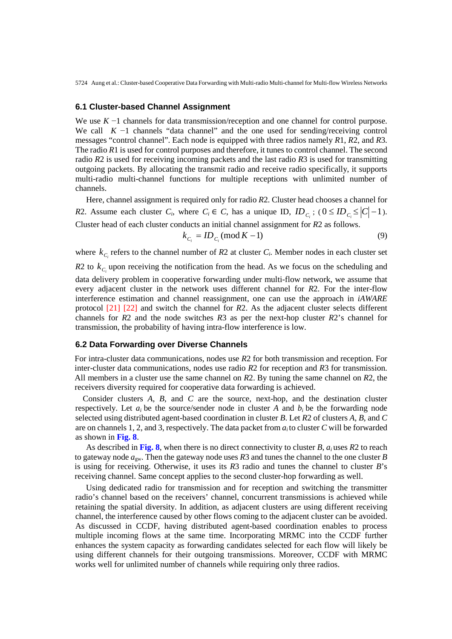## **6.1 Cluster-based Channel Assignment**

We use *K* −1 channels for data transmission/reception and one channel for control purpose. We call *K* −1 channels "data channel" and the one used for sending/receiving control messages "control channel". Each node is equipped with three radios namely *R*1, *R*2, and *R*3. The radio *R*1 is used for control purposes and therefore, it tunes to control channel. The second radio *R*2 is used for receiving incoming packets and the last radio *R*3 is used for transmitting outgoing packets. By allocating the transmit radio and receive radio specifically, it supports multi-radio multi-channel functions for multiple receptions with unlimited number of channels.

Here, channel assignment is required only for radio *R*2. Cluster head chooses a channel for *R*2. Assume each cluster *C<sub>i</sub>*, where *C<sub>i</sub>*  $\in$  *C*, has a unique ID,  $ID_c$ ; ( $0 \leq ID_c \leq |C|-1$ ). Cluster head of each cluster conducts an initial channel assignment for *R*2 as follows.  $k_{c_i} = ID_{c_i} \pmod{K-1}$  (9)

where  $k_c$  refers to the channel number of  $R2$  at cluster  $C_i$ . Member nodes in each cluster set  $R2$  to  $k_c$  upon receiving the notification from the head. As we focus on the scheduling and data delivery problem in cooperative forwarding under multi-flow network, we assume that every adjacent cluster in the network uses different channel for *R*2. For the inter-flow interference estimation and channel reassignment, one can use the approach in *iAWARE*  protocol [21] [22] and switch the channel for *R*2. As the adjacent cluster selects different channels for *R*2 and the node switches *R*3 as per the next-hop cluster *R*2's channel for transmission, the probability of having intra-flow interference is low.

#### **6.2 Data Forwarding over Diverse Channels**

For intra-cluster data communications, nodes use *R*2 for both transmission and reception. For inter-cluster data communications, nodes use radio *R*2 for reception and *R*3 for transmission. All members in a cluster use the same channel on *R*2. By tuning the same channel on *R*2, the receivers diversity required for cooperative data forwarding is achieved.

Consider clusters *A*, *B*, and *C* are the source, next-hop, and the destination cluster respectively. Let  $a_i$  be the source/sender node in cluster A and  $b_i$  be the forwarding node selected using distributed agent-based coordination in cluster *B*. Let *R*2 of clusters *A*, *B*, and *C*  are on channels 1, 2, and 3, respectively. The data packet from *ai* to cluster *C* will be forwarded as shown in **Fig. 8**.

As described in **Fig. 8**, when there is no direct connectivity to cluster *B*, *ai* uses *R*2 to reach to gateway node *a*gw. Then the gateway node uses *R*3 and tunes the channel to the one cluster *B*  is using for receiving. Otherwise, it uses its *R*3 radio and tunes the channel to cluster *B*'s receiving channel. Same concept applies to the second cluster-hop forwarding as well.

Using dedicated radio for transmission and for reception and switching the transmitter radio's channel based on the receivers' channel, concurrent transmissions is achieved while retaining the spatial diversity. In addition, as adjacent clusters are using different receiving channel, the interference caused by other flows coming to the adjacent cluster can be avoided. As discussed in CCDF, having distributed agent-based coordination enables to process multiple incoming flows at the same time. Incorporating MRMC into the CCDF further enhances the system capacity as forwarding candidates selected for each flow will likely be using different channels for their outgoing transmissions. Moreover, CCDF with MRMC works well for unlimited number of channels while requiring only three radios.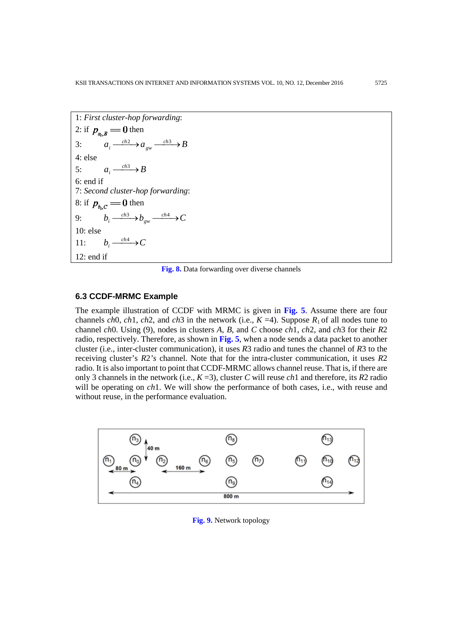```
1: First cluster-hop forwarding:
2: if p_{a_i, B} = 0 then
3: a_i \xrightarrow{ch2} a_{gw} \xrightarrow{ch3} Ba_{gw} \xrightarrow{ch2} a_{gw} \xrightarrow{ch3}4: else
5: a_i \xrightarrow{ch3} B6: end if
7: Second cluster-hop forwarding:
8: if p_{bc} = 0 then
9: b_i \xrightarrow{ch3} b_{gw} \xrightarrow{ch4} Cb_{\scriptscriptstyle gw} \xrightarrow{ch3} b_{\scriptscriptstyle gw} \xrightarrow{ch4}10: else
11: b_i \xrightarrow{ch4} C12: end if
```
**Fig. 8.** Data forwarding over diverse channels

# **6.3 CCDF-MRMC Example**

The example illustration of CCDF with MRMC is given in **Fig. 5**. Assume there are four channels *ch*0, *ch*1, *ch*2, and *ch*3 in the network (i.e.,  $K = 4$ ). Suppose  $R_1$  of all nodes tune to channel *ch*0. Using (9), nodes in clusters *A*, *B*, and *C* choose *ch*1, *ch*2, and *ch*3 for their *R*2 radio, respectively. Therefore, as shown in **Fig. 5**, when a node sends a data packet to another cluster (i.e., inter-cluster communication), it uses *R*3 radio and tunes the channel of *R*3 to the receiving cluster's *R*2*'s* channel. Note that for the intra-cluster communication, it uses *R*2 radio. It is also important to point that CCDF-MRMC allows channel reuse. That is, if there are only 3 channels in the network (i.e., *K* =3), cluster *C* will reuse *ch*1 and therefore, its *R*2 radio will be operating on *ch*1. We will show the performance of both cases, i.e., with reuse and without reuse, in the performance evaluation.



**Fig. 9.** Network topology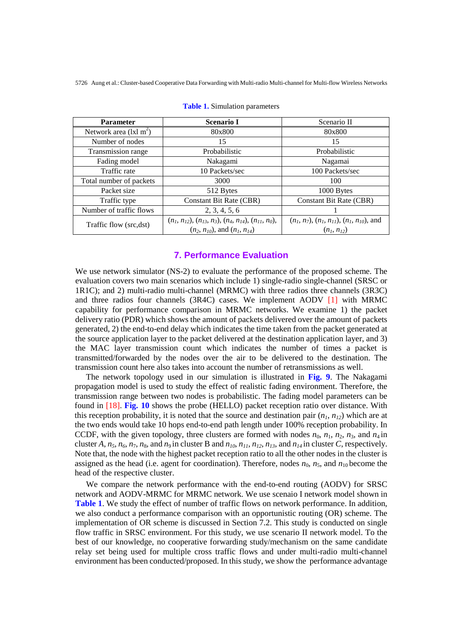| <b>Parameter</b>        | <b>Scenario I</b>                                                                                      | Scenario II                                                        |  |
|-------------------------|--------------------------------------------------------------------------------------------------------|--------------------------------------------------------------------|--|
| Network area $(lxl m2)$ | 80x800                                                                                                 | 80x800                                                             |  |
| Number of nodes         | 15                                                                                                     | 15                                                                 |  |
| Transmission range      | Probabilistic                                                                                          | Probabilistic                                                      |  |
| Fading model            | Nakagami                                                                                               | Nagamai                                                            |  |
| Traffic rate            | 10 Packets/sec                                                                                         | 100 Packets/sec                                                    |  |
| Total number of packets | 3000                                                                                                   | 100                                                                |  |
| Packet size             | 512 Bytes                                                                                              | 1000 Bytes                                                         |  |
| Traffic type            | Constant Bit Rate (CBR)                                                                                | <b>Constant Bit Rate (CBR)</b>                                     |  |
| Number of traffic flows | 2, 3, 4, 5, 6                                                                                          |                                                                    |  |
| Traffic flow (src,dst)  | $(n_1, n_{12}), (n_{13}, n_3), (n_4, n_{14}), (n_{11}, n_0),$<br>$(n_2, n_{10})$ , and $(n_1, n_{14})$ | $(n_1, n_7), (n_1, n_{11}), (n_1, n_{10}),$ and<br>$(n_1, n_{12})$ |  |

**Table 1.** Simulation parameters

# **7. Performance Evaluation**

We use network simulator (NS-2) to evaluate the performance of the proposed scheme. The evaluation covers two main scenarios which include 1) single-radio single-channel (SRSC or 1R1C); and 2) multi-radio multi-channel (MRMC) with three radios three channels (3R3C) and three radios four channels (3R4C) cases. We implement AODV [1] with MRMC capability for performance comparison in MRMC networks. We examine 1) the packet delivery ratio (PDR) which shows the amount of packets delivered over the amount of packets generated, 2) the end-to-end delay which indicates the time taken from the packet generated at the source application layer to the packet delivered at the destination application layer, and 3) the MAC layer transmission count which indicates the number of times a packet is transmitted/forwarded by the nodes over the air to be delivered to the destination. The transmission count here also takes into account the number of retransmissions as well.

The network topology used in our simulation is illustrated in **Fig. 9**. The Nakagami propagation model is used to study the effect of realistic fading environment. Therefore, the transmission range between two nodes is probabilistic. The fading model parameters can be found in [18]. **Fig. 10** shows the probe (HELLO) packet reception ratio over distance. With this reception probability, it is noted that the source and destination pair  $(n_1, n_2)$  which are at the two ends would take 10 hops end-to-end path length under 100% reception probability. In CCDF, with the given topology, three clusters are formed with nodes  $n_0$ ,  $n_1$ ,  $n_2$ ,  $n_3$ , and  $n_4$  in cluster *A*,  $n_5$ ,  $n_6$ ,  $n_7$ ,  $n_8$ , and  $n_9$  in cluster B and  $n_{10}$ ,  $n_{11}$ ,  $n_{12}$ ,  $n_{13}$ , and  $n_{14}$  in cluster *C*, respectively. Note that, the node with the highest packet reception ratio to all the other nodes in the cluster is assigned as the head (i.e. agent for coordination). Therefore, nodes  $n_0$ ,  $n_5$ , and  $n_{10}$  become the head of the respective cluster.

We compare the network performance with the end-to-end routing (AODV) for SRSC network and AODV-MRMC for MRMC network. We use scenaio I network model shown in **Table 1**. We study the effect of number of traffic flows on network performance. In addition, we also conduct a performance comparison with an opportunistic routing (OR) scheme. The implementation of OR scheme is discussed in Section 7.2. This study is conducted on single flow traffic in SRSC environment. For this study, we use scenario II network model. To the best of our knowledge, no cooperative forwarding study/mechanism on the same candidate relay set being used for multiple cross traffic flows and under multi-radio multi-channel environment has been conducted/proposed. In this study, we show the performance advantage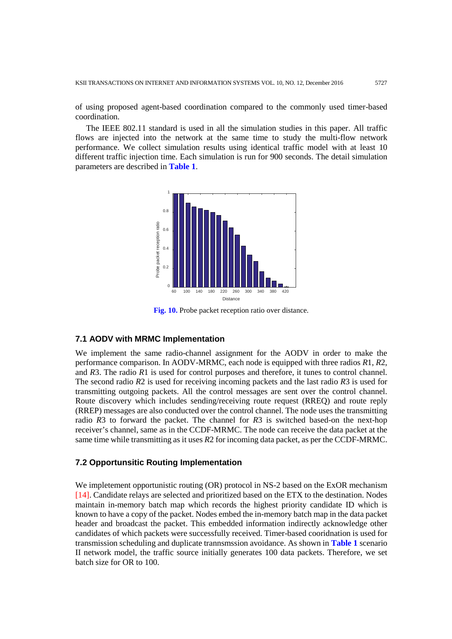of using proposed agent-based coordination compared to the commonly used timer-based coordination.

The IEEE 802.11 standard is used in all the simulation studies in this paper. All traffic flows are injected into the network at the same time to study the multi-flow network performance. We collect simulation results using identical traffic model with at least 10 different traffic injection time. Each simulation is run for 900 seconds. The detail simulation parameters are described in **Table 1**.



**Fig. 10.** Probe packet reception ratio over distance.

## **7.1 AODV with MRMC Implementation**

We implement the same radio-channel assignment for the AODV in order to make the performance comparison. In AODV-MRMC, each node is equipped with three radios *R*1, *R*2, and *R*3. The radio *R*1 is used for control purposes and therefore, it tunes to control channel. The second radio *R*2 is used for receiving incoming packets and the last radio *R*3 is used for transmitting outgoing packets. All the control messages are sent over the control channel. Route discovery which includes sending/receiving route request (RREQ) and route reply (RREP) messages are also conducted over the control channel. The node uses the transmitting radio *R*3 to forward the packet. The channel for *R*3 is switched based-on the next-hop receiver's channel, same as in the CCDF-MRMC. The node can receive the data packet at the same time while transmitting as it uses *R*2 for incoming data packet, as per the CCDF-MRMC.

## **7.2 Opportunsitic Routing Implementation**

We impletement opportunistic routing (OR) protocol in NS-2 based on the ExOR mechanism [14]. Candidate relays are selected and prioritized based on the ETX to the destination. Nodes maintain in-memory batch map which records the highest priority candidate ID which is known to have a copy of the packet. Nodes embed the in-memory batch map in the data packet header and broadcast the packet. This embedded information indirectly acknowledge other candidates of which packets were successfully received. Timer-based cooridnation is used for transmission scheduling and duplicate trannsmssion avoidance. As shown in **Table 1** scenario II network model, the traffic source initially generates 100 data packets. Therefore, we set batch size for OR to 100.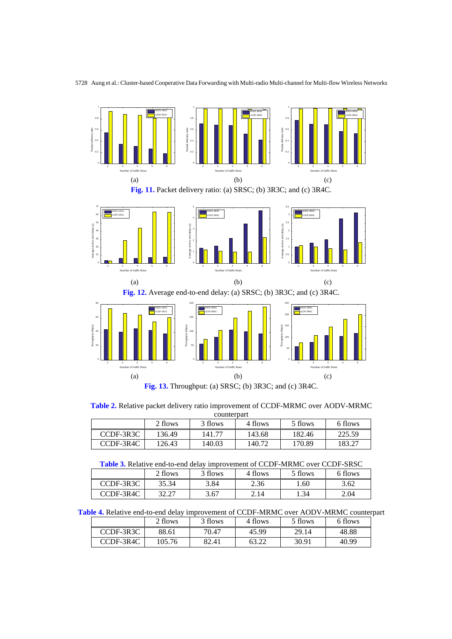

**Fig. 13.** Throughput: (a) SRSC; (b) 3R3C; and (c) 3R4C.

**Table 2.** Relative packet delivery ratio improvement of CCDF-MRMC over AODV-MRMC

| counterpart                                         |        |        |        |        |        |  |  |
|-----------------------------------------------------|--------|--------|--------|--------|--------|--|--|
| 2 flows<br>6 flows<br>3 flows<br>5 flows<br>4 flows |        |        |        |        |        |  |  |
| CCDF-3R3C                                           | 136.49 | 141.77 | 143.68 | 182.46 | 225.59 |  |  |
| CCDF-3R4C                                           | 126.43 | 140.03 | 140.72 | 170.89 | 183.27 |  |  |

|  | <b>Table 3.</b> Relative end-to-end delay improvement of CCDF-MRMC over CCDF-SRSC |  |
|--|-----------------------------------------------------------------------------------|--|
|--|-----------------------------------------------------------------------------------|--|

|           | 2 flows           | 3 flows | 4 flows | 5 flows | 6 flows |
|-----------|-------------------|---------|---------|---------|---------|
| CCDF-3R3C | 35.34             | 3.84    | 2.36    | . 60    | 3.62    |
| CCDF-3R4C | 22.77<br>، ۱۷۰٬۰۰ | 3.67    | 2.14    | 1.34    | 2.04    |

**Table 4.** Relative end-to-end delay improvement of CCDF-MRMC over AODV-MRMC counterpart

|           | 2 flows | 3 flows | 4 flows | 5 flows | 6 flows |
|-----------|---------|---------|---------|---------|---------|
| CCDF-3R3C | 88.61   | 70.47   | 45.99   | 29.14   | 48.88   |
| CCDF-3R4C | 105.76  | 82.41   |         | 30.91   | 40.99   |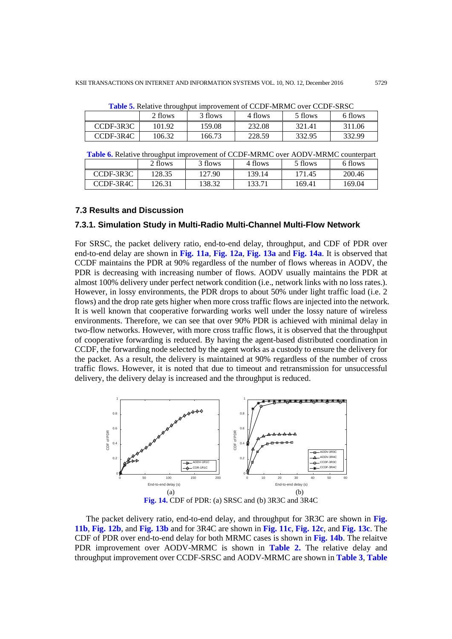|           | 2 flows | 3 flows | 4 flows | 5 flows | 6 flows |
|-----------|---------|---------|---------|---------|---------|
| CCDF-3R3C | 101.92  | 159.08  | 232.08  | 321.41  | 311.06  |
| CCDF-3R4C | 106.32  | 166.73  | 228.59  | 332.95  | 332.99  |

**Table 5.** Relative throughput improvement of CCDF-MRMC over CCDF-SRSC

|           | <b>THULE</b> OF INTERFERING IMPLYMENTED FOR THEFT OF $\sigma$ of $\sigma$ is the set of $\sigma$ counterplate |         |         |         |         |  |  |
|-----------|---------------------------------------------------------------------------------------------------------------|---------|---------|---------|---------|--|--|
|           | 2 flows                                                                                                       | 3 flows | 4 flows | 5 flows | 6 flows |  |  |
| CCDF-3R3C | 128.35                                                                                                        | 127.90  | 139.14  | 171.45  | 200.46  |  |  |
| CCDF-3R4C | 126.31                                                                                                        | 138.32  | 133.71  | 169.41  | 169.04  |  |  |

#### **7.3 Results and Discussion**

# **7.3.1. Simulation Study in Multi-Radio Multi-Channel Multi-Flow Network**

For SRSC, the packet delivery ratio, end-to-end delay, throughput, and CDF of PDR over end-to-end delay are shown in **Fig. 11a**, **Fig. 12a**, **Fig. 13a** and **Fig. 14a**. It is observed that CCDF maintains the PDR at 90% regardless of the number of flows whereas in AODV, the PDR is decreasing with increasing number of flows. AODV usually maintains the PDR at almost 100% delivery under perfect network condition (i.e., network links with no loss rates.). However, in lossy environments, the PDR drops to about 50% under light traffic load (i.e. 2 flows) and the drop rate gets higher when more cross traffic flows are injected into the network. It is well known that cooperative forwarding works well under the lossy nature of wireless environments. Therefore, we can see that over 90% PDR is achieved with minimal delay in two-flow networks. However, with more cross traffic flows, it is observed that the throughput of cooperative forwarding is reduced. By having the agent-based distributed coordination in CCDF, the forwarding node selected by the agent works as a custody to ensure the delivery for the packet. As a result, the delivery is maintained at 90% regardless of the number of cross traffic flows. However, it is noted that due to timeout and retransmission for unsuccessful delivery, the delivery delay is increased and the throughput is reduced.



**Fig. 14.** CDF of PDR: (a) SRSC and (b) 3R3C and 3R4C

The packet delivery ratio, end-to-end delay, and throughput for 3R3C are shown in **Fig. 11b**, **Fig. 12b**, and **Fig. 13b** and for 3R4C are shown in **Fig. 11c**, **Fig. 12c**, and **Fig. 13c**. The CDF of PDR over end-to-end delay for both MRMC cases is shown in **Fig. 14b**. The relaitve PDR improvement over AODV-MRMC is shown in **Table 2.** The relative delay and throughput improvement over CCDF-SRSC and AODV-MRMC are shown in **Table 3**, **Table**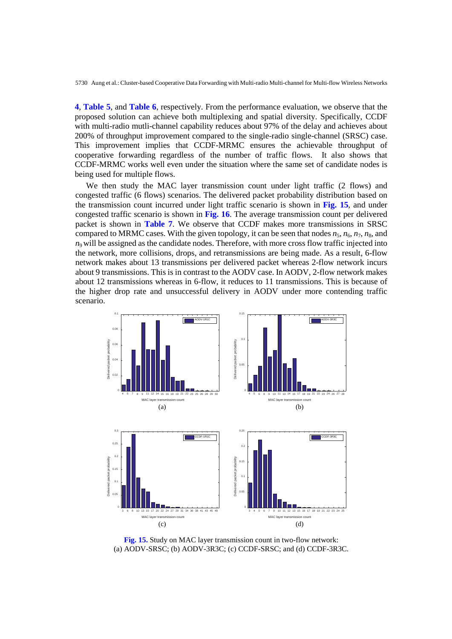**4**, **Table 5**, and **Table 6**, respectively. From the performance evaluation, we observe that the proposed solution can achieve both multiplexing and spatial diversity. Specifically, CCDF with multi-radio mutli-channel capability reduces about 97% of the delay and achieves about 200% of throughput improvement compared to the single-radio single-channel (SRSC) case. This improvement implies that CCDF-MRMC ensures the achievable throughput of cooperative forwarding regardless of the number of traffic flows. It also shows that CCDF-MRMC works well even under the situation where the same set of candidate nodes is being used for multiple flows.

We then study the MAC layer transmission count under light traffic (2 flows) and congested traffic (6 flows) scenarios. The delivered packet probability distribution based on the transmission count incurred under light traffic scenario is shown in **Fig. 15**, and under congested traffic scenario is shown in **Fig. 16**. The average transmission count per delivered packet is shown in **Table 7**. We observe that CCDF makes more transmissions in SRSC compared to MRMC cases. With the given topology, it can be seen that nodes  $n_5$ ,  $n_6$ ,  $n_7$ ,  $n_8$ , and  $n<sub>9</sub>$  will be assigned as the candidate nodes. Therefore, with more cross flow traffic injected into the network, more collisions, drops, and retransmissions are being made. As a result, 6-flow network makes about 13 transmissions per delivered packet whereas 2-flow network incurs about 9 transmissions. This is in contrast to the AODV case. In AODV, 2-flow network makes about 12 transmissions whereas in 6-flow, it reduces to 11 transmissions. This is because of the higher drop rate and unsuccessful delivery in AODV under more contending traffic scenario.



**Fig. 15.** Study on MAC layer transmission count in two-flow network: (a) AODV-SRSC; (b) AODV-3R3C; (c) CCDF-SRSC; and (d) CCDF-3R3C.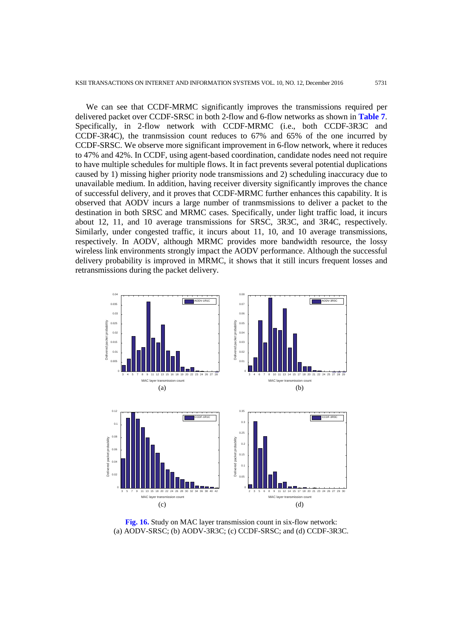We can see that CCDF-MRMC significantly improves the transmissions required per delivered packet over CCDF-SRSC in both 2-flow and 6-flow networks as shown in **Table 7**. Specifically, in 2-flow network with CCDF-MRMC (i.e., both CCDF-3R3C and CCDF-3R4C), the tranmsission count reduces to 67% and 65% of the one incurred by CCDF-SRSC. We observe more significant improvement in 6-flow network, where it reduces to 47% and 42%. In CCDF, using agent-based coordination, candidate nodes need not require to have multiple schedules for multiple flows. It in fact prevents several potential duplications caused by 1) missing higher priority node transmissions and 2) scheduling inaccuracy due to unavailable medium. In addition, having receiver diversity significantly improves the chance of successful delivery, and it proves that CCDF-MRMC further enhances this capability. It is observed that AODV incurs a large number of tranmsmissions to deliver a packet to the destination in both SRSC and MRMC cases. Specifically, under light traffic load, it incurs about 12, 11, and 10 average transmissions for SRSC, 3R3C, and 3R4C, respectively. Similarly, under congested traffic, it incurs about 11, 10, and 10 average transmissions, respectively. In AODV, although MRMC provides more bandwidth resource, the lossy wireless link environments strongly impact the AODV performance. Although the successful delivery probability is improved in MRMC, it shows that it still incurs frequent losses and retransmissions during the packet delivery.



**Fig. 16.** Study on MAC layer transmission count in six-flow network: (a) AODV-SRSC; (b) AODV-3R3C; (c) CCDF-SRSC; and (d) CCDF-3R3C.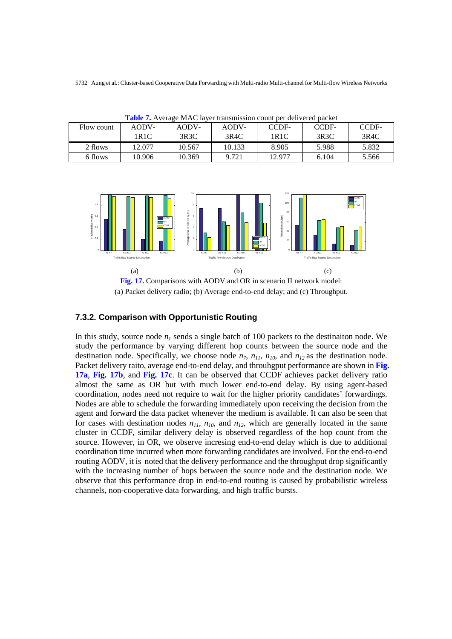| Flow count | AODV-  | AODV-  | AODV-  | CCDF-  | <b>THOICE IS THE THE THE THE THE THE THEORETH COMILE DUE GOIL FOLGE DRUING</b><br>CCDF- | CCDF- |
|------------|--------|--------|--------|--------|-----------------------------------------------------------------------------------------|-------|
|            | 1R1C   | 3R3C   | 3R4C   | 1R1C   | 3R3C                                                                                    | 3R4C  |
|            |        |        |        |        |                                                                                         |       |
| 2 flows    | 12.077 | 10.567 | 10.133 | 8.905  | 5.988                                                                                   | 5.832 |
| 6 flows    | 10.906 | 10.369 | 9.721  | 12.977 | 6.104                                                                                   | 5.566 |

**Table 7.** Average MAC layer transmission count per delivered packet



(a) Packet delivery radio; (b) Average end-to-end delay; and (c) Throughput.

# **7.3.2. Comparison with Opportunistic Routing**

In this study, source node  $n_1$  sends a single batch of 100 packets to the destinaiton node. We study the performance by varying different hop counts between the source node and the destination node. Specifically, we choose node  $n_7$ ,  $n_{11}$ ,  $n_{10}$ , and  $n_{12}$  as the destination node. Packet delivery raito, average end-to-end delay, and throuhgput performance are shown in **Fig. 17a**, **Fig. 17b**, and **Fig. 17c**. It can be observed that CCDF achieves packet delivery ratio almost the same as OR but with much lower end-to-end delay. By using agent-based coordination, nodes need not require to wait for the higher priority candidates' forwardings. Nodes are able to schedule the forwarding immediately upon receiving the decision from the agent and forward the data packet whenever the medium is available. It can also be seen that for cases with destination nodes  $n_{11}$ ,  $n_{10}$ , and  $n_{12}$ , which are generally located in the same cluster in CCDF, similar delivery delay is observed regardless of the hop count from the source. However, in OR, we observe incresing end-to-end delay which is due to additional coordination time incurred when more forwarding candidates are involved. For the end-to-end routing AODV, it is noted that the delivery performance and the throughput drop significantly with the increasing number of hops between the source node and the destination node. We observe that this performance drop in end-to-end routing is caused by probabilistic wireless channels, non-cooperative data forwarding, and high traffic bursts.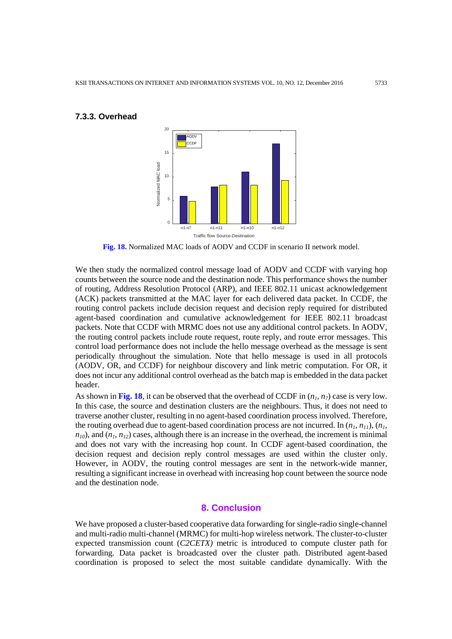

## **7.3.3. Overhead**

**Fig. 18.** Normalized MAC loads of AODV and CCDF in scenario II network model.

We then study the normalized control message load of AODV and CCDF with varying hop counts between the source node and the destination node. This performance shows the number of routing, Address Resolution Protocol (ARP), and IEEE 802.11 unicast acknowledgement (ACK) packets transmitted at the MAC layer for each delivered data packet. In CCDF, the routing control packets include decision request and decision reply required for distributed agent-based coordination and cumulative acknowledgement for IEEE 802.11 broadcast packets. Note that CCDF with MRMC does not use any additional control packets. In AODV, the routing control packets include route request, route reply, and route error messages. This control load performance does not include the hello message overhead as the message is sent periodically throughout the simulation. Note that hello message is used in all protocols (AODV, OR, and CCDF) for neighbour discovery and link metric computation. For OR, it does not incur any additional control overhead as the batch map is embedded in the data packet header.

As shown in Fig. 18, it can be observed that the overhead of CCDF in  $(n_1, n_7)$  case is very low. In this case, the source and destination clusters are the neighbours. Thus, it does not need to traverse another cluster, resulting in no agent-based coordination process involved. Therefore, the routing overhead due to agent-based coordination process are not incurred. In  $(n_1, n_{11})$ ,  $(n_1, n_{12})$  $n_{10}$ ), and  $(n_1, n_{12})$  cases, although there is an increase in the overhead, the increment is minimal and does not vary with the increasing hop count. In CCDF agent-based coordination, the decision request and decision reply control messages are used within the cluster only. However, in AODV, the routing control messages are sent in the network-wide manner, resulting a significant increase in overhead with increasing hop count between the source node and the destination node.

#### **8. Conclusion**

We have proposed a cluster-based cooperative data forwarding for single-radio single-channel and multi-radio multi-channel (MRMC) for multi-hop wireless network. The cluster-to-cluster expected transmission count (*C2CETX)* metric is introduced to compute cluster path for forwarding. Data packet is broadcasted over the cluster path. Distributed agent-based coordination is proposed to select the most suitable candidate dynamically. With the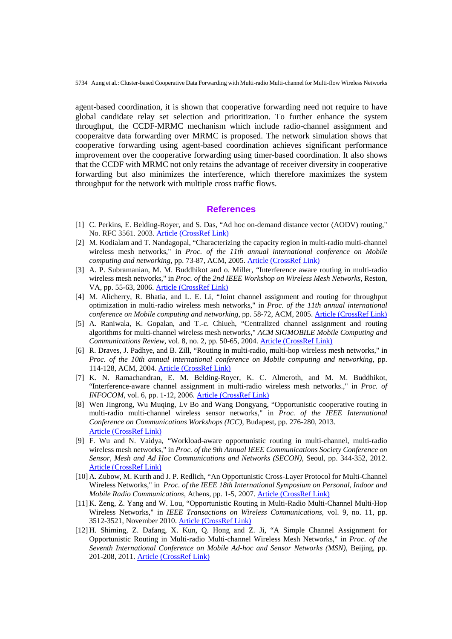agent-based coordination, it is shown that cooperative forwarding need not require to have global candidate relay set selection and prioritization. To further enhance the system throughput, the CCDF-MRMC mechanism which include radio-channel assignment and cooperaitve data forwarding over MRMC is proposed. The network simulation shows that cooperative forwarding using agent-based coordination achieves significant performance improvement over the cooperative forwarding using timer-based coordination. It also shows that the CCDF with MRMC not only retains the advantage of receiver diversity in cooperative forwarding but also minimizes the interference, which therefore maximizes the system throughput for the network with multiple cross traffic flows.

## **References**

- [1] C. Perkins, E. Belding-Royer, and S. Das, "Ad hoc on-demand distance vector (AODV) routing," No. RFC 3561. 2003. [Article \(CrossRef Link\)](http://dx.doi.org/10.17487/RFC3561)
- [2] M. Kodialam and T. Nandagopal, "Characterizing the capacity region in multi-radio multi-channel wireless mesh networks," in *Proc. of the 11th annual international conference on Mobile computing and networking*, pp. 73-87, ACM, 2005. [Article \(CrossRef Link\)](http://dx.doi.org/10.1145/1080829.1080837)
- [3] A. P. Subramanian, M. M. Buddhikot and o. Miller, "Interference aware routing in multi-radio wireless mesh networks," in *Proc. of* the *2nd IEEE Workshop on Wireless Mesh Networks,* Reston, VA, pp. 55-63, 2006. [Article \(CrossRef Link\)](http://dx.doi.org/10.1109/WIMESH.2006.288620)
- [4] M. Alicherry, R. Bhatia, and L. E. Li, "Joint channel assignment and routing for throughput optimization in multi-radio wireless mesh networks," in *Proc. of the 11th annual international conference on Mobile computing and networking*, pp. 58-72, ACM, 2005. [Article \(CrossRef Link\)](http://dx.doi.org/10.1145/1080829.1080836)
- [5] A. Raniwala, K. Gopalan, and T.-c. Chiueh, "Centralized channel assignment and routing algorithms for multi-channel wireless mesh networks," *ACM SIGMOBILE Mobile Computing and Communications Review*, vol. 8, no. 2, pp. 50-65, 2004. [Article \(CrossRef Link\)](http://dx.doi.org/10.1145/997122.997130)
- [6] R. Draves, J. Padhye, and B. Zill, "Routing in multi-radio, multi-hop wireless mesh networks," in *Proc. of the 10th annual international conference on Mobile computing and networking*, pp. 114-128, ACM, 2004. [Article \(CrossRef Link\)](http://dx.doi.org/10.1145/1023720.1023732)
- [7] K. N. Ramachandran, E. M. Belding-Royer, K. C. Almeroth, and M. M. Buddhikot, "Interference-aware channel assignment in multi-radio wireless mesh networks.," in *Proc. of INFOCOM*, vol. 6, pp. 1-12, 2006. **[Article \(CrossRef Link\)](http://dx.doi.org/10.1109/infocom.2006.177)**
- [8] Wen Jingrong, Wu Muqing, Lv Bo and Wang Dongyang, "Opportunistic cooperative routing in multi-radio multi-channel wireless sensor networks," in *Proc. of the IEEE International Conference on Communications Workshops (ICC)*, Budapest, pp. 276-280, 2013. [Article \(CrossRef Link\)](http://dx.doi.org/10.1109/ICCW.2013.6649243)
- [9] F. Wu and N. Vaidya, "Workload-aware opportunistic routing in multi-channel, multi-radio wireless mesh networks," in *Proc. of the 9th Annual IEEE Communications Society Conference on Sensor, Mesh and Ad Hoc Communications and Networks (SECON),* Seoul, pp. 344-352, 2012. [Article \(CrossRef Link\)](http://dx.doi.org/10.1109/secon.2012.6275796)
- [10] A. Zubow, M. Kurth and J. P. Redlich, "An Opportunistic Cross-Layer Protocol for Multi-Channel Wireless Networks," in *Proc. of the IEEE 18th International Symposium on Personal, Indoor and Mobile Radio Communications*, Athens, pp. 1-5, 2007. [Article \(CrossRef Link\)](http://dx.doi.org/10.1109/PIMRC.2007.4394509)
- [11] K. Zeng, Z. Yang and W. Lou, "Opportunistic Routing in Multi-Radio Multi-Channel Multi-Hop Wireless Networks," in *IEEE Transactions on Wireless Communications*, vol. 9, no. 11, pp. 3512-3521, November 2010. [Article \(CrossRef Link\)](http://dx.doi.org/10.1109/TWC.2010.092410.100118)
- [12] H. Shiming, Z. Dafang, X. Kun, Q. Hong and Z. Ji, "A Simple Channel Assignment for Opportunistic Routing in Multi-radio Multi-channel Wireless Mesh Networks," in *Proc. of the Seventh International Conference on Mobile Ad-hoc and Sensor Networks (MSN)*, Beijing, pp. 201-208, 2011. [Article \(CrossRef Link\)](http://dx.doi.org/10.1109/MSN.2011.10)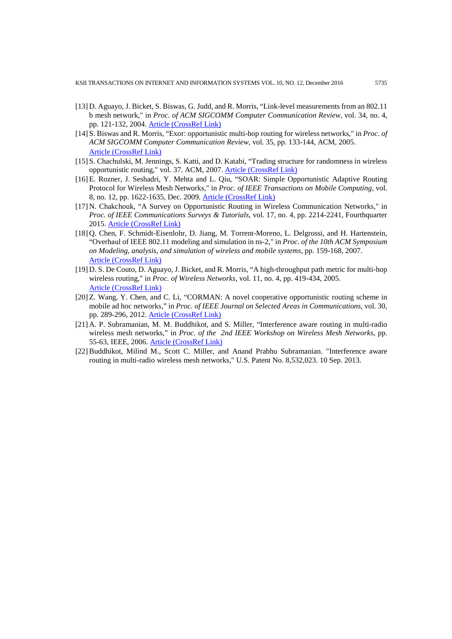KSII TRANSACTIONS ON INTERNET AND INFORMATION SYSTEMS VOL. 10, NO. 12, December 2016 5735

- [13] D. Aguayo, J. Bicket, S. Biswas, G. Judd, and R. Morris, "Link-level measurements from an 802.11 b mesh network," in *Proc. of ACM SIGCOMM Computer Communication Review*, vol. 34, no. 4, pp. 121-132, 2004. [Article \(CrossRef Link\)](http://dx.doi.org/10.1145/1030194.1015482)
- [14] S. Biswas and R. Morris, "Exor: opportunistic multi-hop routing for wireless networks," in *Proc. of ACM SIGCOMM Computer Communication Review*, vol. 35, pp. 133-144, ACM, 2005. [Article \(CrossRef](http://dx.doi.org/10.1145/1080091.1080108) Link)
- [15] S. Chachulski, M. Jennings, S. Katti, and D. Katabi, "Trading structure for randomness in wireless opportunistic routing," vol. 37. ACM, 2007. [Article \(CrossRef Link\)](http://dx.doi.org/10.1145/1282380.1282400)
- [16]E. Rozner, J. Seshadri, Y. Mehta and L. Qiu, "SOAR: Simple Opportunistic Adaptive Routing Protocol for Wireless Mesh Networks," in *Proc. of IEEE Transactions on Mobile Computing*, vol. 8, no. 12, pp. 1622-1635, Dec. 2009. [Article \(CrossRef Link\)](http://dx.doi.org/10.1109/TMC.2009.82)
- [17] N. Chakchouk, "A Survey on Opportunistic Routing in Wireless Communication Networks," in *Proc. of IEEE Communications Surveys & Tutorials*, vol. 17, no. 4, pp. 2214-2241, Fourthquarter 2015[. Article \(CrossRef Link\)](http://dx.doi.org/10.1109/COMST.2015.2411335)
- [18] Q. Chen, F. Schmidt-Eisenlohr, D. Jiang, M. Torrent-Moreno, L. Delgrossi, and H. Hartenstein, "Overhaul of IEEE 802.11 modeling and simulation in ns-2," in *Proc. of the 10th ACM Symposium on Modeling, analysis, and simulation of wireless and mobile systems*, pp. 159-168, 2007. [Article \(CrossRef Link\)](http://dx.doi.org/10.1145/1298126.1298155)
- [19] D. S. De Couto, D. Aguayo, J. Bicket, and R. Morris, "A high-throughput path metric for multi-hop wireless routing," in *Proc. of Wireless Networks*, vol. 11, no. 4, pp. 419-434, 2005. [Article \(CrossRef Link\)](http://dx.doi.org/10.1007/s11276-005-1766-z)
- [20] Z. Wang, Y. Chen, and C. Li, "CORMAN: A novel cooperative opportunistic routing scheme in mobile ad hoc networks," in *Proc. of IEEE Journal on Selected Areas in Communications*, vol. 30, pp. 289-296, 2012. [Article \(CrossRef Link\)](http://dx.doi.org/10.1109/JSAC.2012.120207)
- [21] A. P. Subramanian, M. M. Buddhikot, and S. Miller, "Interference aware routing in multi-radio wireless mesh networks," in *Proc. of the 2nd IEEE Workshop on Wireless Mesh Networks*, pp. 55-63, IEEE, 2006. [Article \(CrossRef Link\)](http://dx.doi.org/10.1109/wimesh.2006.288620)
- [22]Buddhikot, Milind M., Scott C. Miller, and Anand Prabhu Subramanian. "Interference aware routing in multi-radio wireless mesh networks," U.S. Patent No. 8,532,023. 10 Sep. 2013.